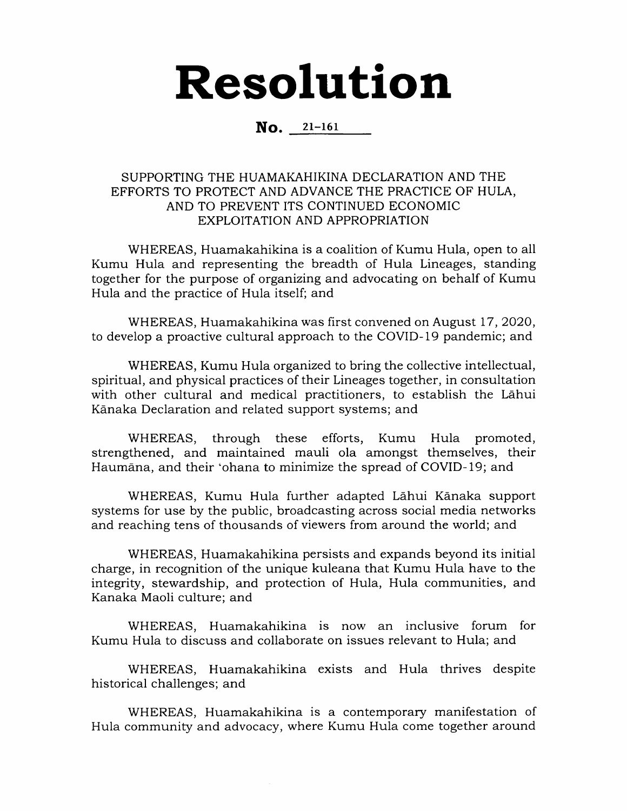## Resolution

## No. 21-161

## SUPPORTING THE HUAMAKAHIKINA DECLARATION AND THE EFFORTS TO PROTECT AND ADVANCE THE PRACTICE OF HULA, AND TO PREVENT ITS CONTINUED ECONOMIC EXPLOITATION AND APPROPRIATION

WHEREAS, Huamakahikina is a coalition of Kumu Hula, open to all Kumu Hula and representing the breadth of Hula Lineages, standing together for the purpose of organizing and advocating on behalf of Kumu Hula and the practice of Hula itself; and

WHEREAS, Huamakahikina was first convened on August 17, 2020, to develop a proactive cultural approach to the COVID-19 pandemic; and

WHEREAS, Kumu Hula organized to bring the collective intellectual, spiritual, and physical practices of their Lineages together, in consultation with other cultural and medical practitioners, to establish the Lahui Kanaka Declaration and related support systems; and

WHEREAS, through these efforts, Kumu Hula promoted, strengthened, and maintained mauli ola amongst themselves, their Haumana, and their 'ohana to minimize the spread of COVID-19; and

WHEREAS, Kumu Hula further adapted Lahui Kanaka support systems for use by the public, broadcasting across social media networks and reaching tens of thousands of viewers from around the world; and

WHEREAS, Huamakahikina persists and expands beyond its initial charge, in recognition of the unique kuleana that Kumu Hula have to the integrity, stewardship, and protection of Hula, Hula communities, and Kanaka Maoli culture; and

WHEREAS, Huamakahikina is now an inclusive forum for Kumu Hula to discuss and collaborate on issues relevant to Hula; and

WHEREAS, Huamakahikina exists and Hula thrives despite historical challenges; and

WHEREAS, Huamakahikina is a contemporary manifestation of Hula community and advocacy, where Kumu Hula come together around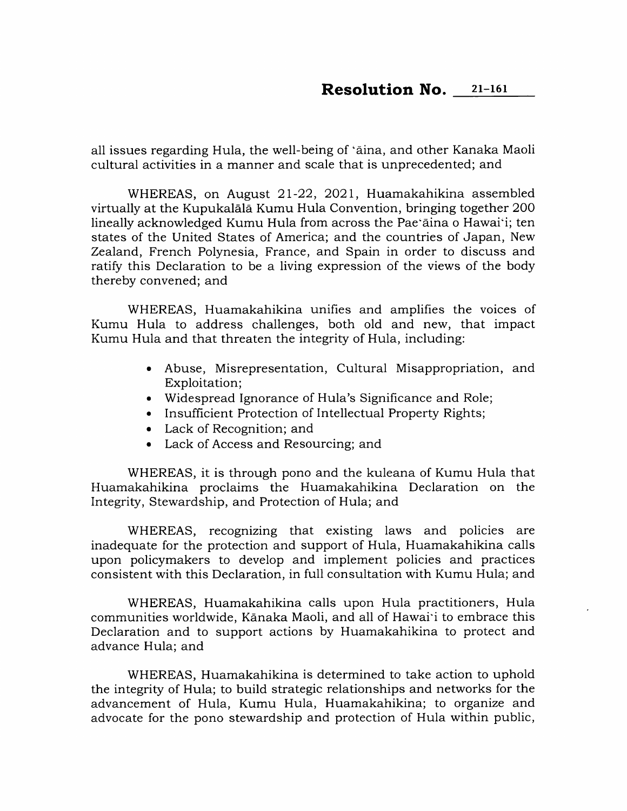all issues regarding Hula, the well-being of 'aina, and other Kanaka Maoli cultural activities in a manner and scale that is unprecedented; and

WHEREAS, on August 21-22, 2021, Huamakahikina assembled virtually at the Kupukalala Kumu Hula Convention, bringing together 200 lineally acknowledged Kumu Hula from across the Pae'aina o Hawai'i; ten states of the United States of America; and the countries of Japan, New Zealand, French Polynesia, France, and Spain in order to discuss and ratify this Declaration to be a living expression of the views of the body thereby convened; and

WHEREAS, Huamakahikina unifies and amplifies the voices of Kumu Hula to address challenges, both old and new, that impact Kumu Hula and that threaten the integrity of Hula, including:

- Abuse, Misrepresentation, Cultural Misappropriation, and Exploitation;
- Widespread Ignorance of Hula's Significance and Role;
- Insufficient Protection of Intellectual Property Rights;
- Lack of Recognition; and
- Lack of Access and Resourcing; and

WHEREAS, it is through pono and the kuleana of Kumu Hula that Huamakahikina proclaims the Huamakahikina Declaration on the Integrity, Stewardship, and Protection of Hula; and

WHEREAS, recognizing that existing laws and policies are inadequate for the protection and support of Hula, Huamakahikina calls upon policymakers to develop and implement policies and practices consistent with this Declaration, in full consultation with Kumu Hula; and

WHEREAS, Huamakahikina calls upon Hula practitioners. Hula communities worldwide. Kanaka Maoli, and all of Hawai'i to embrace this Declaration and to support actions by Huamakahikina to protect and advance Hula; and

WHEREAS, Huamakahikina is determined to take action to uphold the integrity of Hula; to build strategic relationships and networks for the advancement of Hula, Kumu Hula, Huamakahikina; to organize and advocate for the pono stewardship and protection of Hula within public.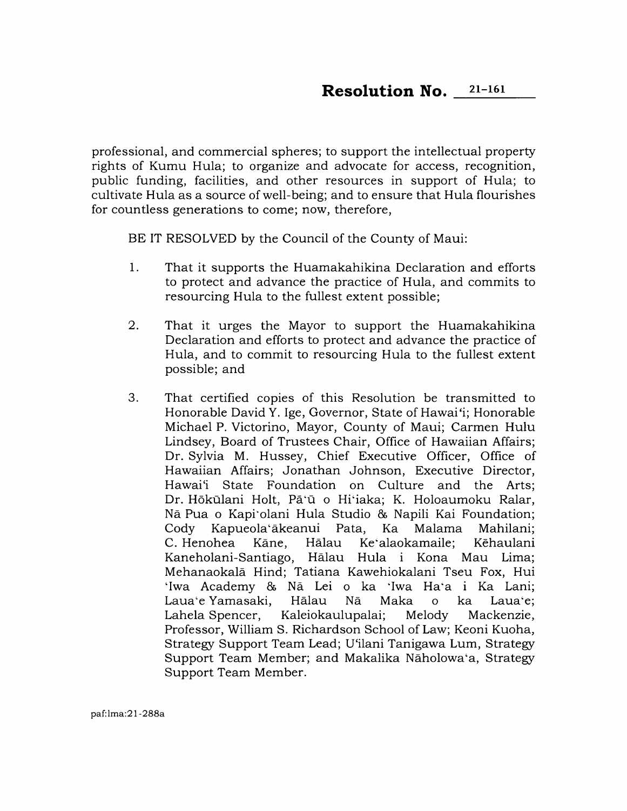professional, and commercial spheres; to support the intellectual property rights of Kumu Hula; to organize and advocate for access, recognition, public funding, facilities, and other resources in support of Hula; to cultivate Hula as a source of well-being; and to ensure that Hula flourishes for countless generations to come; now, therefore.

BE IT RESOLVED by the Council of the County of Maui:

- 1. That it supports the Huamakahikina Declaration and efforts to protect and advance the practice of Hula, and commits to resourcing Hula to the fullest extent possible;
- That it urges the Mayor to support the Huamakahikina Declaration and efforts to protect and advance the practice of Hula, and to commit to resourcing Hula to the fullest extent possible; and 2.
- That certified copies of this Resolution be transmitted to Honorable David Y. Ige, Governor, State of Hawai'i; Honorable Michael P. Victorino, Mayor, County of Maui; Carmen Hulu Lindsey, Board of Trustees Chair, Office of Hawaiian Affairs; Dr. Sylvia M. Hussey, Chief Executive Officer, Office of Hawaiian Affairs; Jonathan Johnson, Executive Director, Hawai'i State Foundation on Culture and the Arts; Dr. Hōkūlani Holt, Pā'ū o Hi'iaka; K. Holoaumoku Ralar, Nā Pua o Kapi`olani Hula Studio & Napili Kai Foundation;<br>Cody Kapueola'ākeanui Pata. Ka Malama Mahilani: Cody Kapueola'akeanui Pata, Ka Malama Mahilani; Ke'alaokamaile; Kaneholani-Santiago, Halau Hula i Kona Mau Lima; Mehanaokala Hind; Tatiana Kawehiokalani Tseu Fox, Hui 'Iwa Academy & Nā Lei o ka 'Iwa Ha'a i Ka Lani;<br>Laua'e-Yamasaki. Hālau - Nā - Maka - o - ka - Laua'e: Laua'e Yamasaki, Hālau Nā Maka o ka Laua'e;<br>Lahela-Spencer, Kaleiokaulupalai; Melody Mackenzie, Kaleiokaulupalai; Professor, William S. Richardson School of Law; Keoni Kuoha, Strategy Support Team Lead; U'ilani Tanigawa Lum, Strategy Support Team Member; and Makalika Naholowa'a, Strategy Support Team Member. 3.